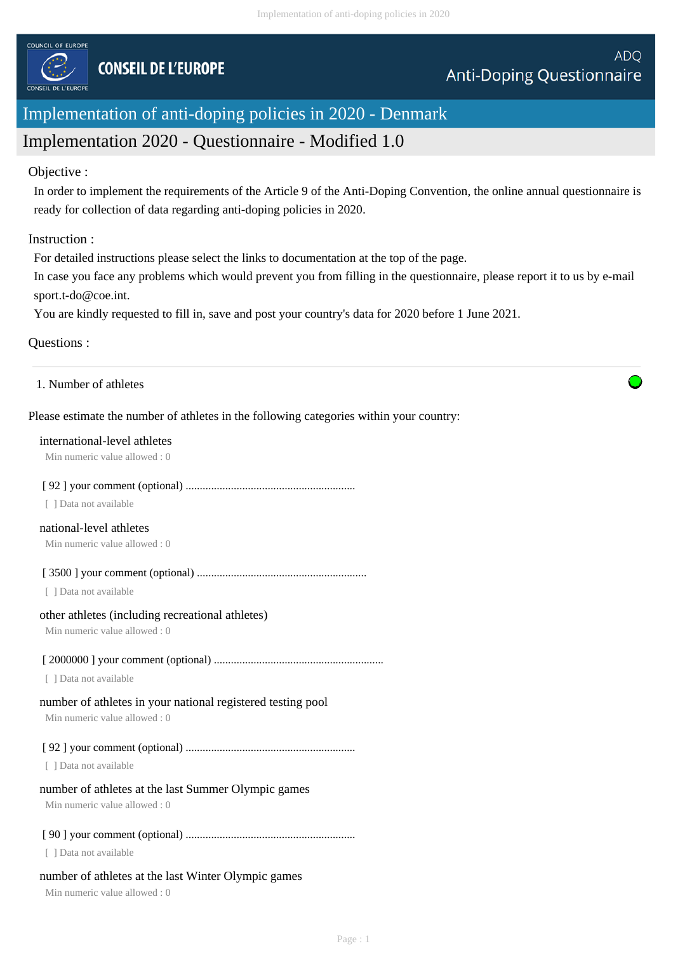

# Implementation of anti-doping policies in 2020 - Denmark

# Implementation 2020 - Questionnaire - Modified 1.0

#### Objective :

In order to implement the requirements of the Article 9 of the Anti-Doping Convention, the online annual questionnaire is ready for collection of data regarding anti-doping policies in 2020.

## Instruction :

For detailed instructions please select the links to documentation at the top of the page.

In case you face any problems which would prevent you from filling in the questionnaire, please report it to us by e-mail sport.t-do@coe.int.

You are kindly requested to fill in, save and post your country's data for 2020 before 1 June 2021.

## Questions :

1. Number of athletes

## Please estimate the number of athletes in the following categories within your country:

#### international-level athletes

Min numeric value allowed : 0

## [ 92 ] your comment (optional) ............................................................

[ ] Data not available

## national-level athletes

Min numeric value allowed : 0

[ 3500 ] your comment (optional) ............................................................

[ ] Data not available

#### other athletes (including recreational athletes)

Min numeric value allowed : 0

## [ 2000000 ] your comment (optional) ............................................................

[ ] Data not available

# number of athletes in your national registered testing pool

Min numeric value allowed : 0

[ 92 ] your comment (optional) ............................................................

[ ] Data not available

# number of athletes at the last Summer Olympic games

Min numeric value allowed : 0

# [ 90 ] your comment (optional) ............................................................

[ ] Data not available

# number of athletes at the last Winter Olympic games

Min numeric value allowed : 0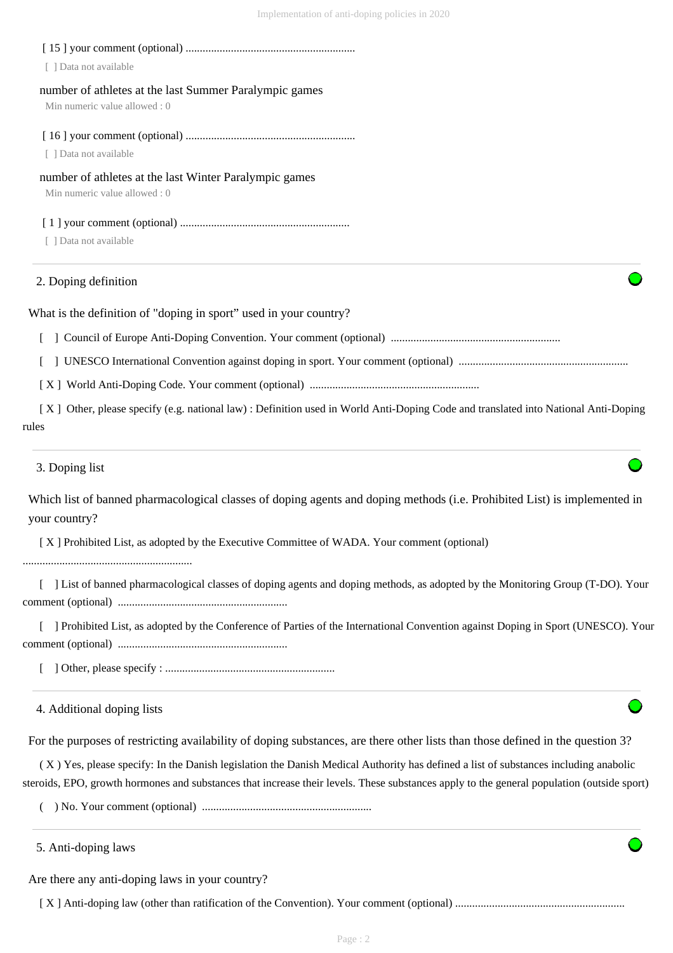| 2. Doping definition                                                                    |  |
|-----------------------------------------------------------------------------------------|--|
| [ ] Data not available                                                                  |  |
|                                                                                         |  |
| number of athletes at the last Winter Paralympic games<br>Min numeric value allowed : 0 |  |
| [ ] Data not available                                                                  |  |
|                                                                                         |  |
| Min numeric value allowed : 0                                                           |  |
| number of athletes at the last Summer Paralympic games                                  |  |
| [ ] Data not available                                                                  |  |
|                                                                                         |  |

What is the definition of "doping in sport" used in your country?

[ ] Council of Europe Anti-Doping Convention. Your comment (optional) ............................................................

[ ] UNESCO International Convention against doping in sport. Your comment (optional) ............................................................

[ X ] World Anti-Doping Code. Your comment (optional) ............................................................

 [ X ] Other, please specify (e.g. national law) : Definition used in World Anti-Doping Code and translated into National Anti-Doping rules

3. Doping list

Which list of banned pharmacological classes of doping agents and doping methods (i.e. Prohibited List) is implemented in your country?

[ X ] Prohibited List, as adopted by the Executive Committee of WADA. Your comment (optional)

............................................................

 [ ] List of banned pharmacological classes of doping agents and doping methods, as adopted by the Monitoring Group (T-DO). Your comment (optional) ............................................................

[ ] Prohibited List, as adopted by the Conference of Parties of the International Convention against Doping in Sport (UNESCO). Your comment (optional) ............................................................

[ ] Other, please specify : ............................................................

4. Additional doping lists

For the purposes of restricting availability of doping substances, are there other lists than those defined in the question 3?

 ( X ) Yes, please specify: In the Danish legislation the Danish Medical Authority has defined a list of substances including anabolic steroids, EPO, growth hormones and substances that increase their levels. These substances apply to the general population (outside sport)

( ) No. Your comment (optional) ............................................................

5. Anti-doping laws

Are there any anti-doping laws in your country?

[ X ] Anti-doping law (other than ratification of the Convention). Your comment (optional) ............................................................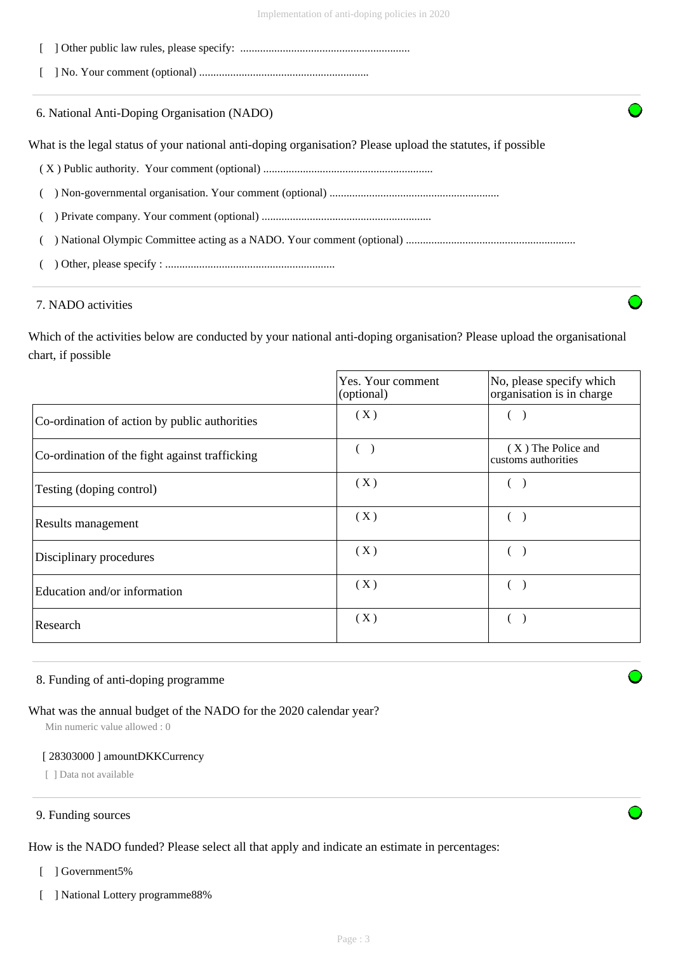- [ ] Other public law rules, please specify: ............................................................
- [ ] No. Your comment (optional) ............................................................

6. National Anti-Doping Organisation (NADO)

What is the legal status of your national anti-doping organisation? Please upload the statutes, if possible

- ( X ) Public authority. Your comment (optional) ............................................................
- ( ) Non-governmental organisation. Your comment (optional) ............................................................
- ( ) Private company. Your comment (optional) ............................................................
- ( ) National Olympic Committee acting as a NADO. Your comment (optional) ............................................................
- ( ) Other, please specify : ............................................................

## 7. NADO activities

Which of the activities below are conducted by your national anti-doping organisation? Please upload the organisational chart, if possible

|                                                | Yes. Your comment<br>(optional) | No, please specify which<br>organisation is in charge |
|------------------------------------------------|---------------------------------|-------------------------------------------------------|
| Co-ordination of action by public authorities  | (X)                             |                                                       |
| Co-ordination of the fight against trafficking |                                 | (X) The Police and<br>customs authorities             |
| Testing (doping control)                       | (X)                             |                                                       |
| Results management                             | (X)                             |                                                       |
| Disciplinary procedures                        | (X)                             |                                                       |
| Education and/or information                   | (X)                             |                                                       |
| Research                                       | (X)                             |                                                       |

#### 8. Funding of anti-doping programme

## What was the annual budget of the NADO for the 2020 calendar year?

Min numeric value allowed : 0

#### [ 28303000 ] amountDKKCurrency

[ ] Data not available

## 9. Funding sources

How is the NADO funded? Please select all that apply and indicate an estimate in percentages:

- [ ] Government5%
- [ ] National Lottery programme88%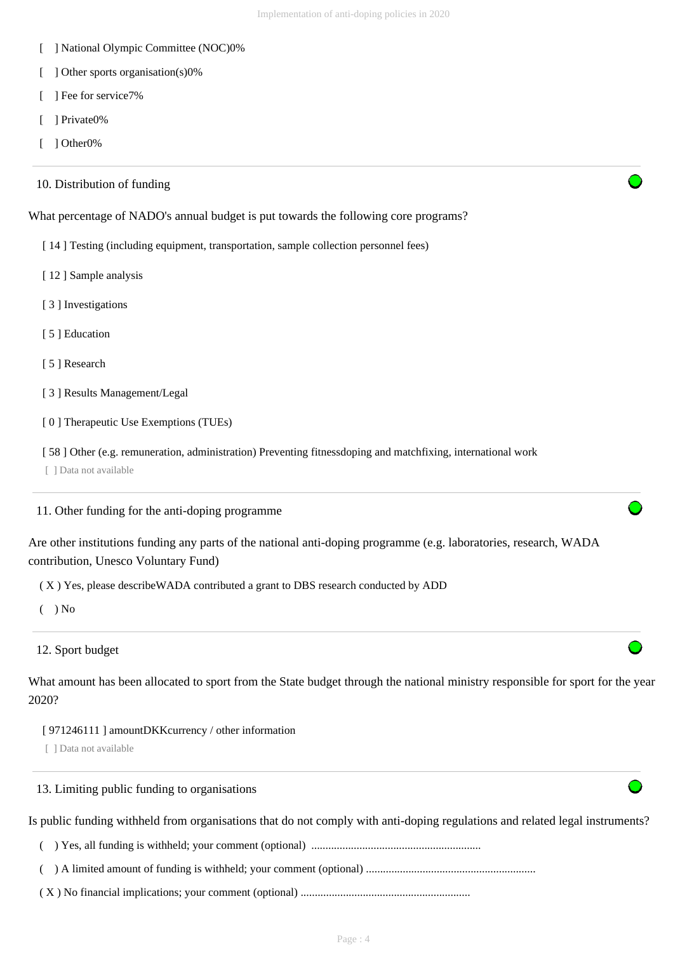- [ ] National Olympic Committee (NOC)0%
- [ ] Other sports organisation(s)0%
- [ ] Fee for service7%
- [ ] Private0%
- [ ] Other0%

| 10. Distribution of funding                                                                                                                               |  |
|-----------------------------------------------------------------------------------------------------------------------------------------------------------|--|
| What percentage of NADO's annual budget is put towards the following core programs?                                                                       |  |
| [14] Testing (including equipment, transportation, sample collection personnel fees)                                                                      |  |
| [12] Sample analysis                                                                                                                                      |  |
| [3] Investigations                                                                                                                                        |  |
| [5] Education                                                                                                                                             |  |
| [5] Research                                                                                                                                              |  |
| [3] Results Management/Legal                                                                                                                              |  |
| [0] Therapeutic Use Exemptions (TUEs)                                                                                                                     |  |
| [58] Other (e.g. remuneration, administration) Preventing fitnessdoping and matchfixing, international work<br>[ ] Data not available                     |  |
| 11. Other funding for the anti-doping programme                                                                                                           |  |
| Are other institutions funding any parts of the national anti-doping programme (e.g. laboratories, research, WADA<br>contribution, Unesco Voluntary Fund) |  |
| (X) Yes, please describe WADA contributed a grant to DBS research conducted by ADD                                                                        |  |
| ) No                                                                                                                                                      |  |
| 12. Sport budget                                                                                                                                          |  |
| What amount has been allocated to sport from the State budget through the national ministry responsible for sport for the year<br>2020?                   |  |
| [971246111] amountDKKcurrency / other information<br>[ ] Data not available                                                                               |  |
| 13. Limiting public funding to organisations                                                                                                              |  |
| Is public funding withheld from organisations that do not comply with anti-doping regulations and related legal instruments?                              |  |
|                                                                                                                                                           |  |
|                                                                                                                                                           |  |
|                                                                                                                                                           |  |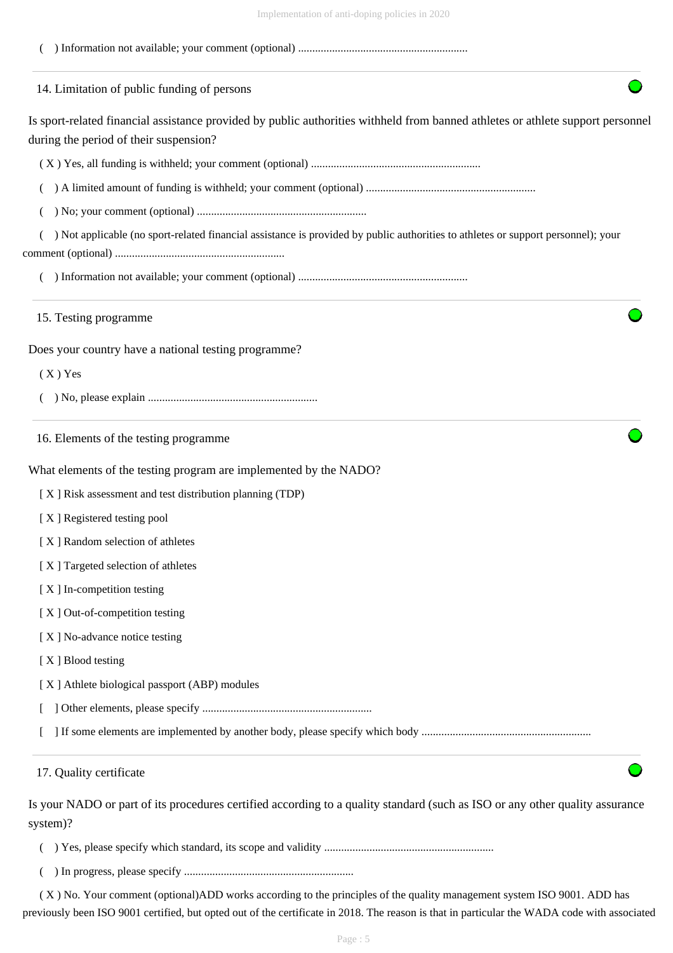| пприлистиция от апи-чорще ропско нг 2020                                                                                                                                  |  |
|---------------------------------------------------------------------------------------------------------------------------------------------------------------------------|--|
|                                                                                                                                                                           |  |
| 14. Limitation of public funding of persons                                                                                                                               |  |
| Is sport-related financial assistance provided by public authorities withheld from banned athletes or athlete support personnel<br>during the period of their suspension? |  |
|                                                                                                                                                                           |  |
|                                                                                                                                                                           |  |
|                                                                                                                                                                           |  |
| ) Not applicable (no sport-related financial assistance is provided by public authorities to athletes or support personnel); your                                         |  |
|                                                                                                                                                                           |  |
|                                                                                                                                                                           |  |
| 15. Testing programme                                                                                                                                                     |  |
| Does your country have a national testing programme?                                                                                                                      |  |
| $(X)$ Yes                                                                                                                                                                 |  |
|                                                                                                                                                                           |  |
| 16. Elements of the testing programme                                                                                                                                     |  |
| What elements of the testing program are implemented by the NADO?                                                                                                         |  |
| [X] Risk assessment and test distribution planning (TDP)                                                                                                                  |  |
| [X] Registered testing pool                                                                                                                                               |  |
| [X] Random selection of athletes                                                                                                                                          |  |
| [X] Targeted selection of athletes                                                                                                                                        |  |
| [X] In-competition testing                                                                                                                                                |  |
| [X] Out-of-competition testing                                                                                                                                            |  |
| [X] No-advance notice testing                                                                                                                                             |  |
| [X] Blood testing                                                                                                                                                         |  |
| [X] Athlete biological passport (ABP) modules                                                                                                                             |  |
|                                                                                                                                                                           |  |
|                                                                                                                                                                           |  |
| 17. Quality certificate                                                                                                                                                   |  |
| Is your NADO or part of its procedures certified according to a quality standard (such as ISO or any other quality assurance                                              |  |
| system)?                                                                                                                                                                  |  |
|                                                                                                                                                                           |  |

( ) In progress, please specify ............................................................

 ( X ) No. Your comment (optional)ADD works according to the principles of the quality management system ISO 9001. ADD has previously been ISO 9001 certified, but opted out of the certificate in 2018. The reason is that in particular the WADA code with associated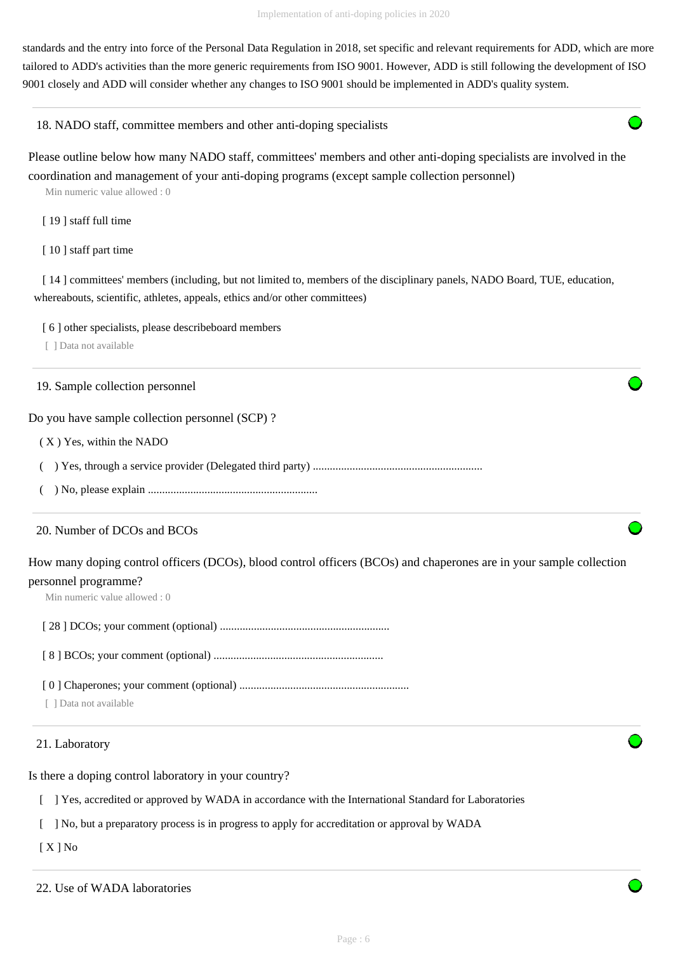standards and the entry into force of the Personal Data Regulation in 2018, set specific and relevant requirements for ADD, which are more tailored to ADD's activities than the more generic requirements from ISO 9001. However, ADD is still following the development of ISO 9001 closely and ADD will consider whether any changes to ISO 9001 should be implemented in ADD's quality system.

18. NADO staff, committee members and other anti-doping specialists

Please outline below how many NADO staff, committees' members and other anti-doping specialists are involved in the coordination and management of your anti-doping programs (except sample collection personnel)

Min numeric value allowed : 0

- [19] staff full time
- [10] staff part time

[ 14 ] committees' members (including, but not limited to, members of the disciplinary panels, NADO Board, TUE, education, whereabouts, scientific, athletes, appeals, ethics and/or other committees)

[ 6 ] other specialists, please describeboard members

[ ] Data not available

19. Sample collection personnel

Do you have sample collection personnel (SCP) ?

( X ) Yes, within the NADO

( ) Yes, through a service provider (Delegated third party) ............................................................

( ) No, please explain ............................................................

## 20. Number of DCOs and BCOs

How many doping control officers (DCOs), blood control officers (BCOs) and chaperones are in your sample collection personnel programme?

Min numeric value allowed : 0

[ 28 ] DCOs; your comment (optional) ............................................................

[ 8 ] BCOs; your comment (optional) ............................................................

[ 0 ] Chaperones; your comment (optional) ............................................................

[ ] Data not available

## 21. Laboratory

Is there a doping control laboratory in your country?

[ ] Yes, accredited or approved by WADA in accordance with the International Standard for Laboratories

[ ] No, but a preparatory process is in progress to apply for accreditation or approval by WADA

[ X ] No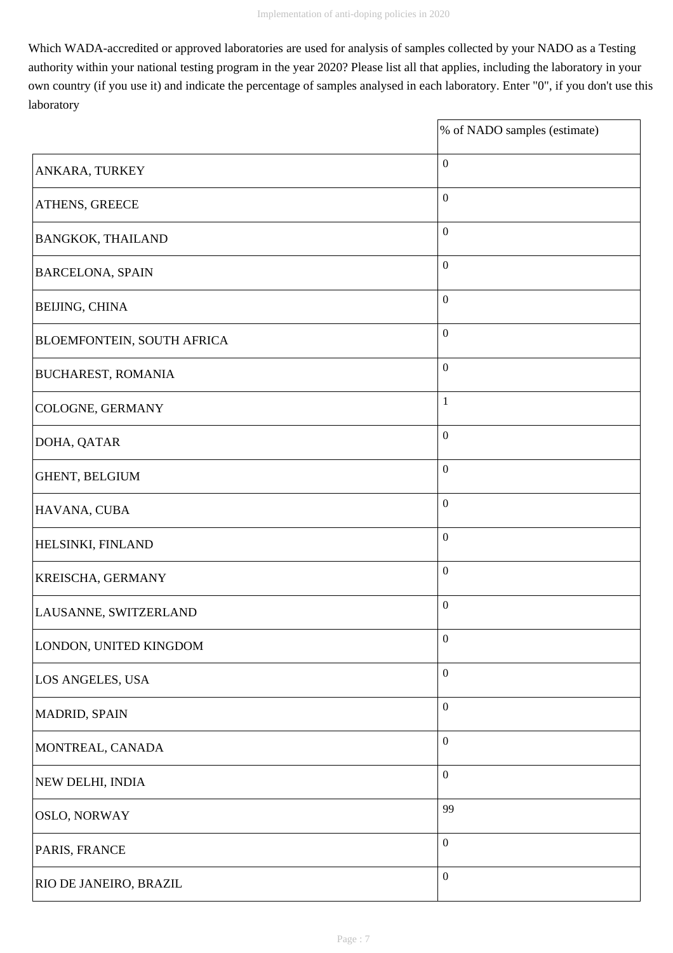Which WADA-accredited or approved laboratories are used for analysis of samples collected by your NADO as a Testing authority within your national testing program in the year 2020? Please list all that applies, including the laboratory in your own country (if you use it) and indicate the percentage of samples analysed in each laboratory. Enter "0", if you don't use this laboratory

 $\overline{\phantom{a}}$ 

|                                   | % of NADO samples (estimate) |
|-----------------------------------|------------------------------|
| ANKARA, TURKEY                    | $\boldsymbol{0}$             |
| ATHENS, GREECE                    | $\boldsymbol{0}$             |
| <b>BANGKOK, THAILAND</b>          | $\boldsymbol{0}$             |
| <b>BARCELONA, SPAIN</b>           | $\boldsymbol{0}$             |
| <b>BEIJING, CHINA</b>             | $\boldsymbol{0}$             |
| <b>BLOEMFONTEIN, SOUTH AFRICA</b> | $\boldsymbol{0}$             |
| <b>BUCHAREST, ROMANIA</b>         | $\boldsymbol{0}$             |
| COLOGNE, GERMANY                  | $\mathbf{1}$                 |
| DOHA, QATAR                       | $\boldsymbol{0}$             |
| GHENT, BELGIUM                    | $\boldsymbol{0}$             |
| HAVANA, CUBA                      | $\boldsymbol{0}$             |
| HELSINKI, FINLAND                 | $\boldsymbol{0}$             |
| KREISCHA, GERMANY                 | $\boldsymbol{0}$             |
| LAUSANNE, SWITZERLAND             | $\boldsymbol{0}$             |
| LONDON, UNITED KINGDOM            | $\boldsymbol{0}$             |
| LOS ANGELES, USA                  | $\boldsymbol{0}$             |
| MADRID, SPAIN                     | $\boldsymbol{0}$             |
| MONTREAL, CANADA                  | $\boldsymbol{0}$             |
| NEW DELHI, INDIA                  | $\boldsymbol{0}$             |
| OSLO, NORWAY                      | 99                           |
| PARIS, FRANCE                     | $\boldsymbol{0}$             |
| RIO DE JANEIRO, BRAZIL            | $\boldsymbol{0}$             |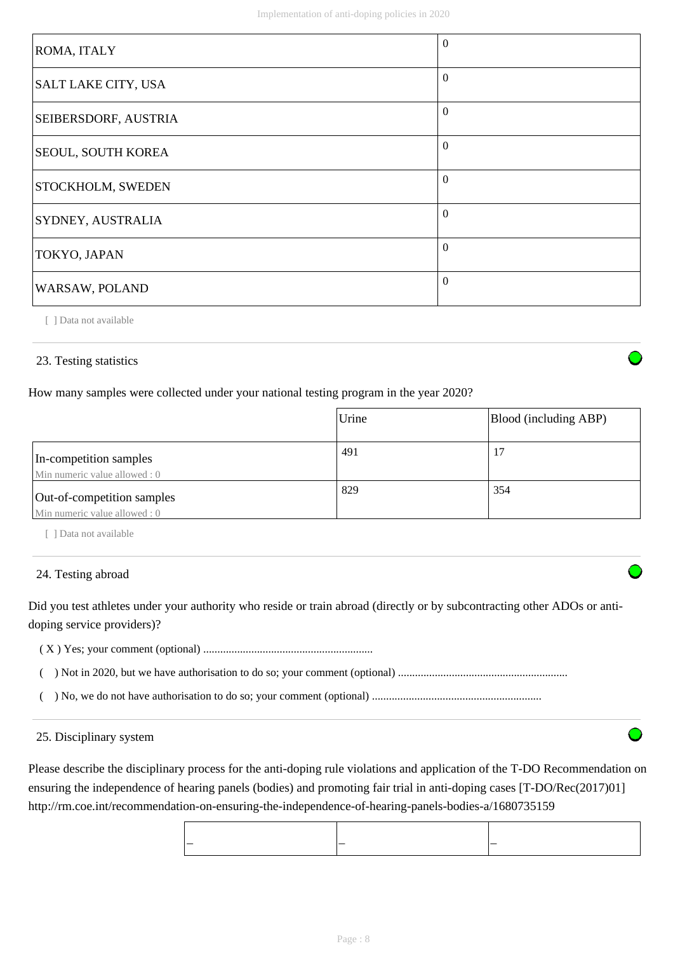| ROMA, ITALY                 | $\Omega$ |
|-----------------------------|----------|
| SALT LAKE CITY, USA         | $\Omega$ |
| <b>SEIBERSDORF, AUSTRIA</b> | $\Omega$ |
| <b>SEOUL, SOUTH KOREA</b>   | $\Omega$ |
| <b>STOCKHOLM, SWEDEN</b>    | $\Omega$ |
| SYDNEY, AUSTRALIA           | $\theta$ |
| TOKYO, JAPAN                | $\Omega$ |
| WARSAW, POLAND              | $\Omega$ |

[ ] Data not available

## 23. Testing statistics

How many samples were collected under your national testing program in the year 2020?

|                                                             | Urine | Blood (including ABP) |
|-------------------------------------------------------------|-------|-----------------------|
| In-competition samples<br>Min numeric value allowed : 0     | 491   |                       |
| Out-of-competition samples<br>Min numeric value allowed : 0 | 829   | 354                   |

[ ] Data not available

#### 24. Testing abroad

Did you test athletes under your authority who reside or train abroad (directly or by subcontracting other ADOs or antidoping service providers)?

( X ) Yes; your comment (optional) ............................................................

( ) Not in 2020, but we have authorisation to do so; your comment (optional) ............................................................

( ) No, we do not have authorisation to do so; your comment (optional) ............................................................

#### 25. Disciplinary system

Please describe the disciplinary process for the anti-doping rule violations and application of the T-DO Recommendation on ensuring the independence of hearing panels (bodies) and promoting fair trial in anti-doping cases [T-DO/Rec(2017)01] http://rm.coe.int/recommendation-on-ensuring-the-independence-of-hearing-panels-bodies-a/1680735159

| $\overline{\phantom{a}}$<br>__<br>__ |  |  |
|--------------------------------------|--|--|
|                                      |  |  |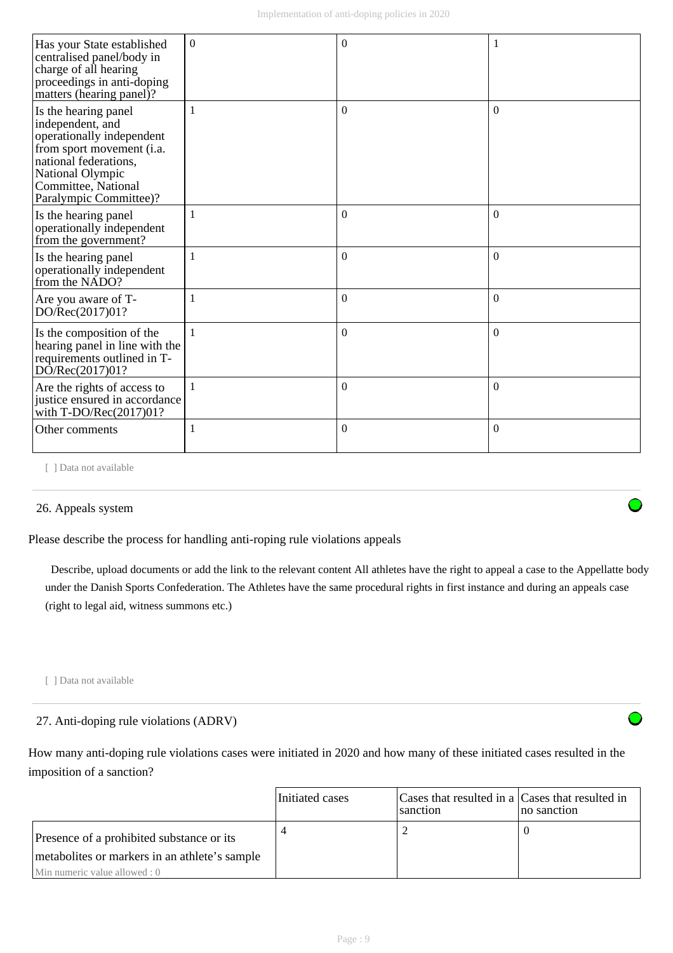| Has your State established<br>centralised panel/body in<br>charge of all hearing<br>proceedings in anti-doping<br>matters (hearing panel)?                                                       | $\Omega$ | $\Omega$     | -1       |
|--------------------------------------------------------------------------------------------------------------------------------------------------------------------------------------------------|----------|--------------|----------|
| Is the hearing panel<br>independent, and<br>operationally independent<br>from sport movement (i.a.<br>national federations.<br>National Olympic<br>Committee, National<br>Paralympic Committee)? | 1        | $\Omega$     | $\theta$ |
| Is the hearing panel<br>operationally independent<br>from the government?                                                                                                                        | 1        | $\Omega$     | $\theta$ |
| Is the hearing panel<br>operationally independent<br>from the NADO?                                                                                                                              | 1        | $\mathbf{0}$ | $\Omega$ |
| Are you aware of T-<br>DO/Rec(2017)01?                                                                                                                                                           | 1        | $\mathbf{0}$ | $\Omega$ |
| Is the composition of the<br>hearing panel in line with the<br>requirements outlined in T-<br>DO/Rec(2017)01?                                                                                    | 1        | $\mathbf{0}$ | $\theta$ |
| Are the rights of access to<br>justice ensured in accordance<br>with T-DO/Rec(2017)01?                                                                                                           | 1        | $\mathbf{0}$ | $\theta$ |
| Other comments                                                                                                                                                                                   | 1        | $\Omega$     | $\Omega$ |

[ ] Data not available

## 26. Appeals system

Please describe the process for handling anti-roping rule violations appeals

 Describe, upload documents or add the link to the relevant content All athletes have the right to appeal a case to the Appellatte body under the Danish Sports Confederation. The Athletes have the same procedural rights in first instance and during an appeals case (right to legal aid, witness summons etc.)

[ ] Data not available

## 27. Anti-doping rule violations (ADRV)

How many anti-doping rule violations cases were initiated in 2020 and how many of these initiated cases resulted in the imposition of a sanction?

|                                                | Initiated cases | Cases that resulted in a Cases that resulted in<br>sanction | no sanction |
|------------------------------------------------|-----------------|-------------------------------------------------------------|-------------|
| Presence of a prohibited substance or its      |                 |                                                             |             |
| metabolities or markers in an athlete's sample |                 |                                                             |             |
| Min numeric value allowed : 0                  |                 |                                                             |             |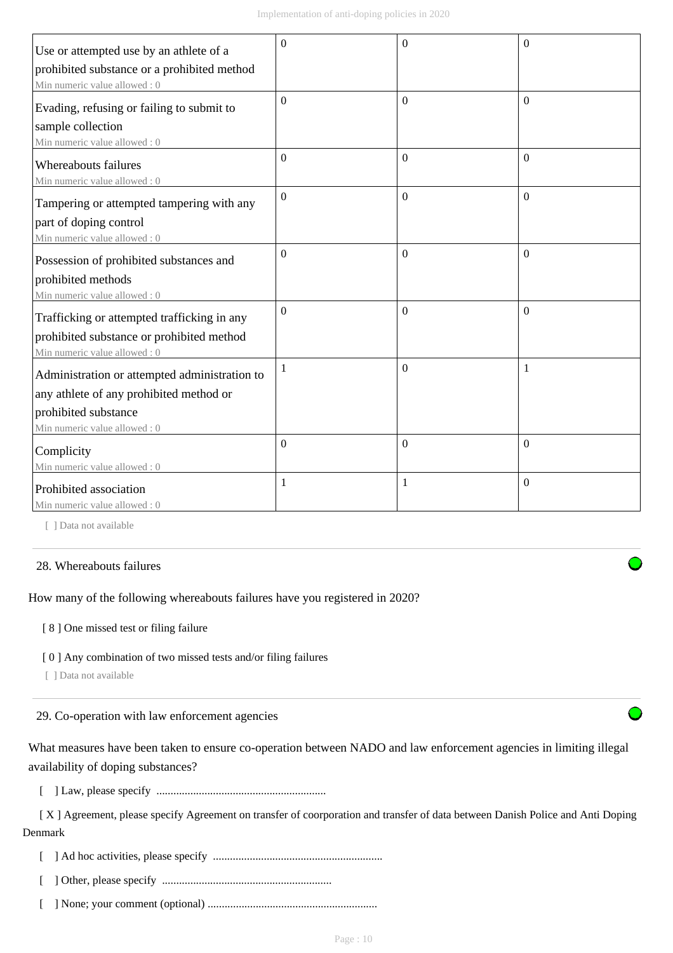| Use or attempted use by an athlete of a       | $\Omega$ | $\Omega$ | $\Omega$ |
|-----------------------------------------------|----------|----------|----------|
| prohibited substance or a prohibited method   |          |          |          |
| Min numeric value allowed: 0                  |          |          |          |
| Evading, refusing or failing to submit to     | $\Omega$ | $\Omega$ | $\Omega$ |
| sample collection                             |          |          |          |
| Min numeric value allowed: 0                  |          |          |          |
| Whereabouts failures                          | $\Omega$ | $\theta$ | $\Omega$ |
| Min numeric value allowed: 0                  |          |          |          |
| Tampering or attempted tampering with any     | $\theta$ | $\theta$ | $\Omega$ |
| part of doping control                        |          |          |          |
| Min numeric value allowed: 0                  |          |          |          |
| Possession of prohibited substances and       | $\Omega$ | $\Omega$ | $\Omega$ |
| prohibited methods                            |          |          |          |
| Min numeric value allowed: 0                  |          |          |          |
| Trafficking or attempted trafficking in any   | $\Omega$ | $\theta$ | $\Omega$ |
| prohibited substance or prohibited method     |          |          |          |
| Min numeric value allowed: 0                  |          |          |          |
| Administration or attempted administration to | 1        | $\Omega$ |          |
| any athlete of any prohibited method or       |          |          |          |
| prohibited substance                          |          |          |          |
| Min numeric value allowed: 0                  |          |          |          |
| Complicity                                    | $\Omega$ | $\theta$ | $\theta$ |
| Min numeric value allowed: 0                  |          |          |          |
| Prohibited association                        | 1        | 1        | $\theta$ |
| Min numeric value allowed : 0                 |          |          |          |

[ ] Data not available

#### 28. Whereabouts failures

How many of the following whereabouts failures have you registered in 2020?

[ 8 ] One missed test or filing failure

#### [ 0 ] Any combination of two missed tests and/or filing failures

[ ] Data not available

29. Co-operation with law enforcement agencies

What measures have been taken to ensure co-operation between NADO and law enforcement agencies in limiting illegal availability of doping substances?

[ ] Law, please specify ............................................................

 [ X ] Agreement, please specify Agreement on transfer of coorporation and transfer of data between Danish Police and Anti Doping Denmark

[ ] Ad hoc activities, please specify ............................................................

[ ] Other, please specify ............................................................

[ ] None; your comment (optional) ............................................................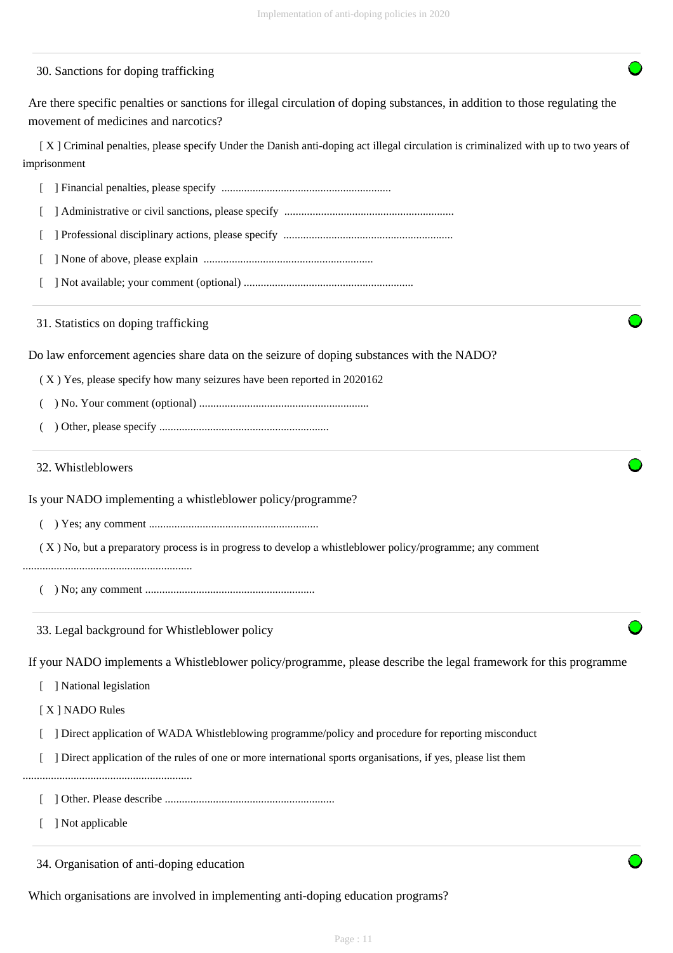#### 30. Sanctions for doping trafficking

Are there specific penalties or sanctions for illegal circulation of doping substances, in addition to those regulating the movement of medicines and narcotics?

 [ X ] Criminal penalties, please specify Under the Danish anti-doping act illegal circulation is criminalized with up to two years of imprisonment

|  | Financial penalties, please specify |  |  |  |  |
|--|-------------------------------------|--|--|--|--|
|--|-------------------------------------|--|--|--|--|

[ ] Administrative or civil sanctions, please specify ............................................................

- [ ] Professional disciplinary actions, please specify ............................................................
- [ ] None of above, please explain ............................................................
- [ ] Not available; your comment (optional) ............................................................

#### 31. Statistics on doping trafficking

Do law enforcement agencies share data on the seizure of doping substances with the NADO?

( X ) Yes, please specify how many seizures have been reported in 2020162

- ( ) No. Your comment (optional) ............................................................
- ( ) Other, please specify ............................................................

#### 32. Whistleblowers

Is your NADO implementing a whistleblower policy/programme?

( ) Yes; any comment ............................................................

( X ) No, but a preparatory process is in progress to develop a whistleblower policy/programme; any comment

- ............................................................
	- ( ) No; any comment ............................................................
	- 33. Legal background for Whistleblower policy

If your NADO implements a Whistleblower policy/programme, please describe the legal framework for this programme

- [ ] National legislation
- [ X ] NADO Rules
- [ ] Direct application of WADA Whistleblowing programme/policy and procedure for reporting misconduct
- [ ] Direct application of the rules of one or more international sports organisations, if yes, please list them
- ............................................................
	- [ ] Other. Please describe ............................................................
	- [ ] Not applicable

34. Organisation of anti-doping education

Which organisations are involved in implementing anti-doping education programs?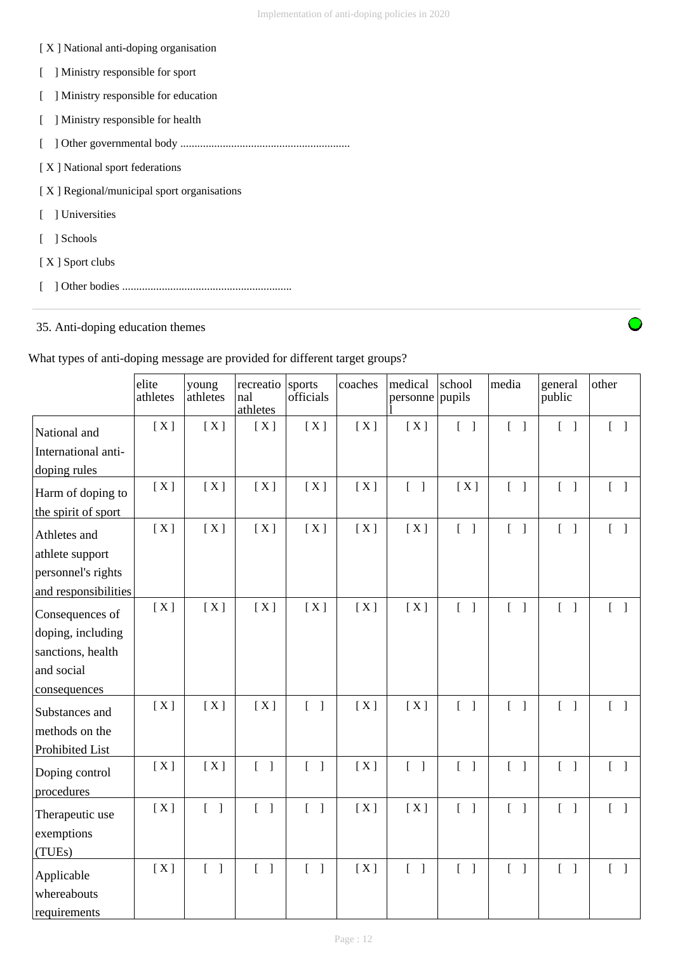#### [ X ] National anti-doping organisation

- [ ] Ministry responsible for sport
- [ ] Ministry responsible for education
- [ ] Ministry responsible for health
- [ ] Other governmental body ............................................................
- [ X ] National sport federations

[ X ] Regional/municipal sport organisations

- [ ] Universities
- [ ] Schools
- [ X ] Sport clubs
- [ ] Other bodies ............................................................

## 35. Anti-doping education themes

What types of anti-doping message are provided for different target groups?

|                                           | elite<br>athletes | young<br>athletes                 | recreatio<br>nal<br>athletes      | sports<br>officials               | coaches | medical<br>personne               | school<br>pupils                  | media                                 | general<br>public                 | other                             |
|-------------------------------------------|-------------------|-----------------------------------|-----------------------------------|-----------------------------------|---------|-----------------------------------|-----------------------------------|---------------------------------------|-----------------------------------|-----------------------------------|
| National and                              | [X]               | [X]                               | [X]                               | [X]                               | [X]     | [X]                               | $\begin{bmatrix} 1 \end{bmatrix}$ | $\begin{bmatrix} 1 \end{bmatrix}$     | $\begin{bmatrix} 1 \end{bmatrix}$ | $\begin{bmatrix} 1 \end{bmatrix}$ |
| International anti-                       |                   |                                   |                                   |                                   |         |                                   |                                   |                                       |                                   |                                   |
| doping rules                              |                   |                                   |                                   |                                   |         |                                   |                                   |                                       |                                   |                                   |
| Harm of doping to                         | [X]               | [X]                               | [X]                               | [X]                               | [X]     | $\begin{bmatrix} 1 \end{bmatrix}$ | [X]                               | $\begin{bmatrix} 1 \end{bmatrix}$     | $\begin{bmatrix} 1 \end{bmatrix}$ | $\begin{bmatrix} 1 \end{bmatrix}$ |
| the spirit of sport                       |                   |                                   |                                   |                                   |         |                                   |                                   |                                       |                                   |                                   |
| Athletes and                              | [X]               | [X]                               | [X]                               | [X]                               | [X]     | [X]                               | $[\ ]$                            | $\begin{bmatrix} 1 \end{bmatrix}$     | $\begin{bmatrix} 1 \end{bmatrix}$ | $\begin{bmatrix} 1 \end{bmatrix}$ |
| athlete support                           |                   |                                   |                                   |                                   |         |                                   |                                   |                                       |                                   |                                   |
| personnel's rights                        |                   |                                   |                                   |                                   |         |                                   |                                   |                                       |                                   |                                   |
| and responsibilities                      |                   |                                   |                                   |                                   |         |                                   |                                   |                                       |                                   |                                   |
| Consequences of                           | [X]               | [X]                               | [X]                               | [X]                               | [X]     | [X]                               | $\begin{bmatrix} 1 \end{bmatrix}$ | $\begin{bmatrix} 1 \end{bmatrix}$     | $\begin{bmatrix} 1 \end{bmatrix}$ | $\begin{bmatrix} 1 \end{bmatrix}$ |
| doping, including                         |                   |                                   |                                   |                                   |         |                                   |                                   |                                       |                                   |                                   |
| sanctions, health                         |                   |                                   |                                   |                                   |         |                                   |                                   |                                       |                                   |                                   |
| and social                                |                   |                                   |                                   |                                   |         |                                   |                                   |                                       |                                   |                                   |
| consequences                              |                   |                                   |                                   |                                   |         |                                   |                                   |                                       |                                   |                                   |
| Substances and                            | [X]               | [X]                               | [X]                               | $\begin{bmatrix} 1 \end{bmatrix}$ | [X]     | [X]                               | $[\ ]$                            | $\begin{bmatrix} 1 \end{bmatrix}$     | $\begin{bmatrix} 1 \end{bmatrix}$ | $\begin{bmatrix} 1 \end{bmatrix}$ |
| methods on the                            |                   |                                   |                                   |                                   |         |                                   |                                   |                                       |                                   |                                   |
| Prohibited List                           |                   |                                   |                                   |                                   |         |                                   |                                   |                                       |                                   |                                   |
| Doping control<br>procedures              | [X]               | [X]                               | $\begin{bmatrix} 1 \end{bmatrix}$ | $\begin{bmatrix} 1 \end{bmatrix}$ | [X]     | $\begin{bmatrix} 1 \end{bmatrix}$ | $\begin{bmatrix} 1 \end{bmatrix}$ | $\begin{bmatrix} 1 \end{bmatrix}$     | $\begin{bmatrix} 1 \end{bmatrix}$ | $\begin{bmatrix} 1 \end{bmatrix}$ |
| Therapeutic use                           | [X]               | $\begin{bmatrix} 1 \end{bmatrix}$ | $\begin{bmatrix} 1 \end{bmatrix}$ | $\begin{bmatrix} 1 \end{bmatrix}$ | [X]     | [X]                               | $[\ ]$                            | $\begin{bmatrix} 1 \end{bmatrix}$     | $\begin{bmatrix} 1 \end{bmatrix}$ | $\begin{bmatrix} 1 \end{bmatrix}$ |
| exemptions<br>(TUEs)                      |                   |                                   |                                   |                                   |         |                                   |                                   |                                       |                                   |                                   |
| Applicable<br>whereabouts<br>requirements | [X]               | $[$ $]$                           | $\begin{bmatrix} 1 \end{bmatrix}$ | $\begin{bmatrix} 1 \end{bmatrix}$ | [X]     | $\begin{bmatrix} 1 \end{bmatrix}$ | $\begin{bmatrix} 1 \end{bmatrix}$ | $\begin{bmatrix} 1 & 1 \end{bmatrix}$ | $\begin{bmatrix} 1 \end{bmatrix}$ | $\begin{bmatrix} 1 \end{bmatrix}$ |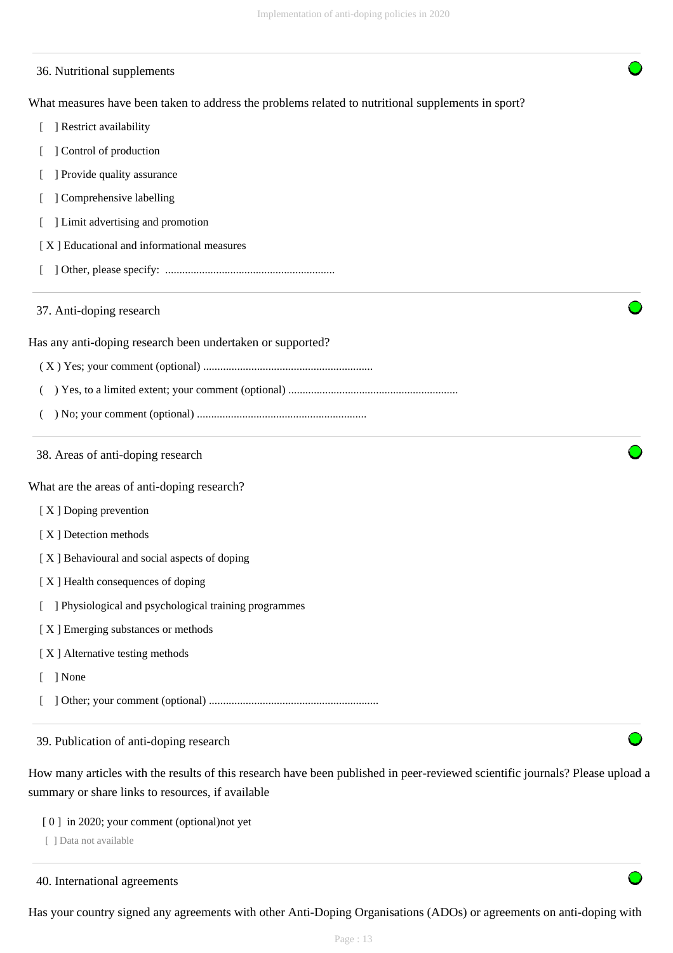| 36. Nutritional supplements                                                                        |
|----------------------------------------------------------------------------------------------------|
| What measures have been taken to address the problems related to nutritional supplements in sport? |
| ] Restrict availability                                                                            |
| Control of production                                                                              |
| ] Provide quality assurance                                                                        |
| Comprehensive labelling                                                                            |
| ] Limit advertising and promotion                                                                  |
| [X] Educational and informational measures                                                         |
|                                                                                                    |
| 37. Anti-doping research                                                                           |
| Has any anti-doping research been undertaken or supported?                                         |
|                                                                                                    |
|                                                                                                    |
|                                                                                                    |
| 38. Areas of anti-doping research                                                                  |
| What are the areas of anti-doping research?                                                        |
| [X] Doping prevention                                                                              |
| [X] Detection methods                                                                              |
| [X] Behavioural and social aspects of doping                                                       |
| [X] Health consequences of doping                                                                  |
| ] Physiological and psychological training programmes                                              |
| [X] Emerging substances or methods                                                                 |
| [X] Alternative testing methods                                                                    |
| ] None                                                                                             |
|                                                                                                    |
| 39. Publication of anti-doping research                                                            |

How many articles with the results of this research have been published in peer-reviewed scientific journals? Please upload a summary or share links to resources, if available

- [ 0 ] in 2020; your comment (optional)not yet
- [ ] Data not available

40. International agreements

Has your country signed any agreements with other Anti-Doping Organisations (ADOs) or agreements on anti-doping with